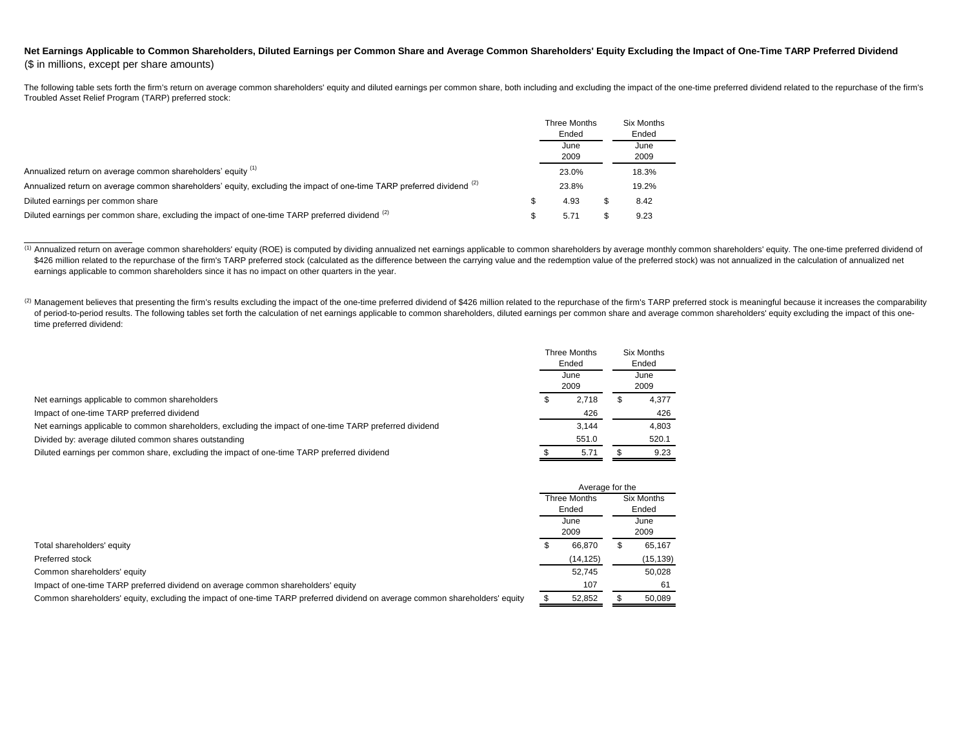## Net Earnings Applicable to Common Shareholders, Diluted Earnings per Common Share and Average Common Shareholders' Equity Excluding the Impact of One-Time TARP Preferred Dividend (\$ in millions, except per share amounts)

The following table sets forth the firm's return on average common shareholders' equity and diluted earnings per common share, both including and excluding the impact of the one-time preferred dividend related to the repur Troubled Asset Relief Program (TARP) preferred stock:

|                                                                                                                        | Three Months | Six Months |
|------------------------------------------------------------------------------------------------------------------------|--------------|------------|
|                                                                                                                        | Ended        | Ended      |
|                                                                                                                        | June         | June       |
|                                                                                                                        | 2009         | 2009       |
| Annualized return on average common shareholders' equity (1)                                                           | 23.0%        | 18.3%      |
| Annualized return on average common shareholders' equity, excluding the impact of one-time TARP preferred dividend (2) | 23.8%        | 19.2%      |
| Diluted earnings per common share                                                                                      | 4.93         | 8.42       |
| Diluted earnings per common share, excluding the impact of one-time TARP preferred dividend (2)                        | 5.71         | 9.23       |

<sup>(1)</sup> Annualized return on average common shareholders' equity (ROE) is computed by dividing annualized net earnings applicable to common shareholders by average monthly common shareholders' equity. The one-time preferred \$426 million related to the repurchase of the firm's TARP preferred stock (calculated as the difference between the carrying value and the redemption value of the preferred stock) was not annualized in the calculation of a earnings applicable to common shareholders since it has no impact on other quarters in the year.

(2) Management believes that presenting the firm's results excluding the impact of the one-time preferred dividend of \$426 million related to the repurchase of the firm's TARP preferred stock is meaningful because it incre of period-to-period results. The following tables set forth the calculation of net earnings applicable to common shareholders, diluted earnings per common share and average common shareholders' equity excluding the impact time preferred dividend:

|                                                                                                          | Three Months<br>Ended<br>June<br>2009 |       | Six Months<br>Ended<br>June<br>2009 |       |
|----------------------------------------------------------------------------------------------------------|---------------------------------------|-------|-------------------------------------|-------|
|                                                                                                          |                                       |       |                                     |       |
| Net earnings applicable to common shareholders                                                           |                                       | 2,718 | ۰Т.                                 | 4,377 |
| Impact of one-time TARP preferred dividend                                                               |                                       | 426   |                                     | 426   |
| Net earnings applicable to common shareholders, excluding the impact of one-time TARP preferred dividend |                                       | 3.144 |                                     | 4,803 |
| Divided by: average diluted common shares outstanding                                                    |                                       | 551.0 |                                     | 520.1 |
| Diluted earnings per common share, excluding the impact of one-time TARP preferred dividend              |                                       | 5.71  |                                     | 9.23  |

|                                                                                                                              | Average for the                       |           |              |            |
|------------------------------------------------------------------------------------------------------------------------------|---------------------------------------|-----------|--------------|------------|
|                                                                                                                              | Three Months<br>Ended<br>June<br>2009 |           |              | Six Months |
|                                                                                                                              |                                       |           |              | Ended      |
|                                                                                                                              |                                       |           | June<br>2009 |            |
| Total shareholders' equity                                                                                                   |                                       | 66.870    |              | 65,167     |
| Preferred stock                                                                                                              |                                       | (14, 125) |              | (15, 139)  |
| Common shareholders' equity                                                                                                  |                                       | 52.745    |              | 50,028     |
| Impact of one-time TARP preferred dividend on average common shareholders' equity                                            |                                       | 107       |              | 61         |
| Common shareholders' equity, excluding the impact of one-time TARP preferred dividend on average common shareholders' equity |                                       | 52,852    |              | 50,089     |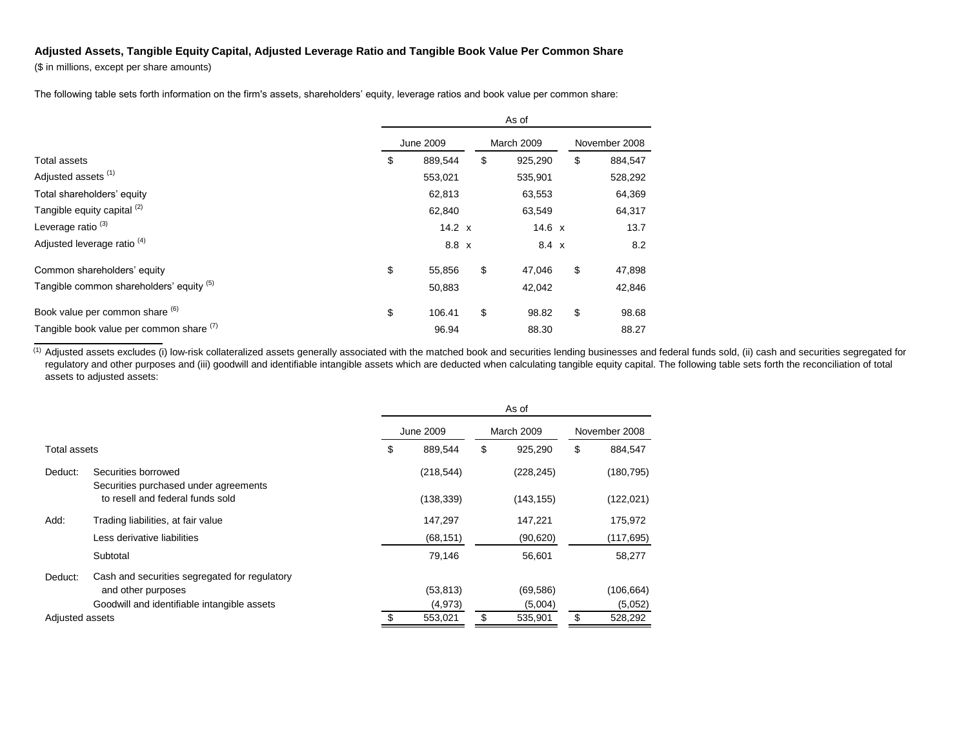## **Adjusted Assets, Tangible Equity Capital, Adjusted Leverage Ratio and Tangible Book Value Per Common Share**

(\$ in millions, except per share amounts)

The following table sets forth information on the firm's assets, shareholders' equity, leverage ratios and book value per common share:

|                                          | As of     |               |  |                   |         |               |    |         |
|------------------------------------------|-----------|---------------|--|-------------------|---------|---------------|----|---------|
|                                          | June 2009 |               |  | <b>March 2009</b> |         | November 2008 |    |         |
| <b>Total assets</b>                      | \$        | 889,544       |  | \$                | 925,290 |               | \$ | 884,547 |
| Adjusted assets <sup>(1)</sup>           |           | 553,021       |  |                   | 535,901 |               |    | 528,292 |
| Total shareholders' equity               |           | 62,813        |  |                   | 63,553  |               |    | 64,369  |
| Tangible equity capital (2)              |           | 62,840        |  |                   | 63,549  |               |    | 64,317  |
| Leverage ratio <sup>(3)</sup>            |           | $14.2 \times$ |  |                   | 14.6 x  |               |    | 13.7    |
| Adjusted leverage ratio <sup>(4)</sup>   |           | 8.8 x         |  |                   | 8.4 x   |               |    | 8.2     |
| Common shareholders' equity              | \$        | 55,856        |  | \$                | 47,046  |               | \$ | 47,898  |
| Tangible common shareholders' equity (5) |           | 50,883        |  |                   | 42,042  |               |    | 42,846  |
| Book value per common share (6)          | \$        | 106.41        |  | \$                | 98.82   |               | \$ | 98.68   |
| Tangible book value per common share (7) |           | 96.94         |  |                   | 88.30   |               |    | 88.27   |

<sup>(1)</sup> Adjusted assets excludes (i) low-risk collateralized assets generally associated with the matched book and securities lending businesses and federal funds sold, (ii) cash and securities segregated for regulatory and other purposes and (iii) goodwill and identifiable intangible assets which are deducted when calculating tangible equity capital. The following table sets forth the reconciliation of total assets to adjusted assets:

|                 |                                                              | As of |            |    |                   |               |            |
|-----------------|--------------------------------------------------------------|-------|------------|----|-------------------|---------------|------------|
|                 |                                                              |       | June 2009  |    | <b>March 2009</b> | November 2008 |            |
| Total assets    |                                                              | \$    | 889,544    | \$ | 925,290           | \$            | 884,547    |
| Deduct:         | Securities borrowed<br>Securities purchased under agreements |       | (218, 544) |    | (228, 245)        |               | (180, 795) |
|                 | to resell and federal funds sold                             |       | (138, 339) |    | (143, 155)        |               | (122, 021) |
| Add:            | Trading liabilities, at fair value                           |       | 147,297    |    | 147,221           |               | 175,972    |
|                 | Less derivative liabilities                                  |       | (68, 151)  |    | (90, 620)         |               | (117, 695) |
|                 | Subtotal                                                     |       | 79.146     |    | 56.601            |               | 58,277     |
| Deduct:         | Cash and securities segregated for regulatory                |       |            |    |                   |               |            |
|                 | and other purposes                                           |       | (53, 813)  |    | (69, 586)         |               | (106, 664) |
|                 | Goodwill and identifiable intangible assets                  |       | (4,973)    |    | (5,004)           |               | (5,052)    |
| Adjusted assets |                                                              |       | 553,021    | \$ | 535,901           |               | 528,292    |